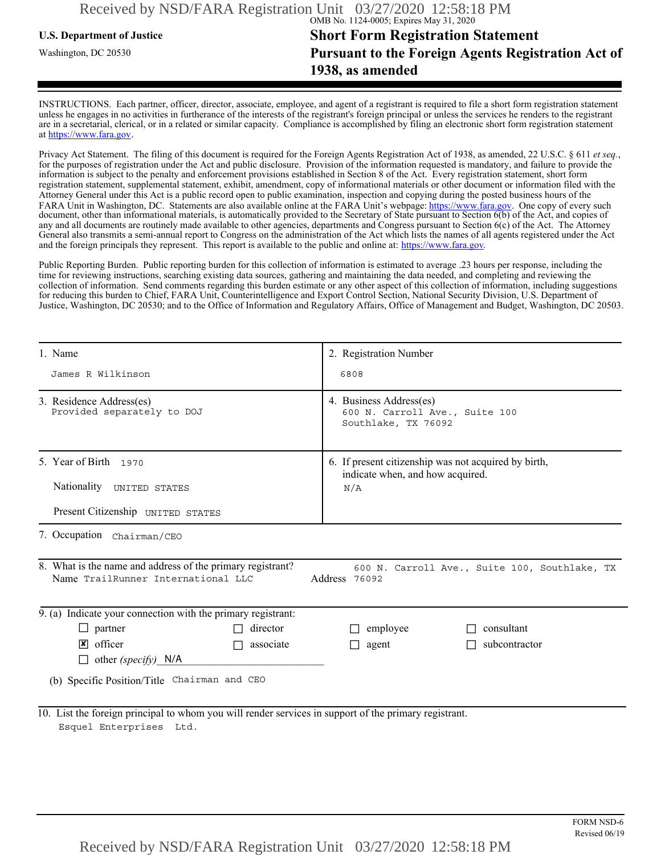## **U.S. Department of Justice Short Form Registration Statement** Washington, DC 20530 **Pursuant to the Foreign Agents Registration Act of 1938, as amended**

INSTRUCTIONS. Each partner, officer, director, associate, employee, and agent of a registrant is required to file a short form registration statement unless he engages in no activities in furtherance of the interests of the registrant's foreign principal or unless the services he renders to the registrant are in a secretarial, clerical, or in a related or similar capacity. Compliance is accomplished by filing an electronic short form registration statement at https://www.fara.gov.

Privacy Act Statement. The filing of this document is required for the Foreign Agents Registration Act of 1938, as amended, 22 U.S.C. § 611 *et seq.*, for the purposes of registration under the Act and public disclosure. Provision of the information requested is mandatory, and failure to provide the information is subject to the penalty and enforcement provisions established in Section 8 of the Act. Every registration statement, short form registration statement, supplemental statement, exhibit, amendment, copy of informational materials or other document or information filed with the Attorney General under this Act is a public record open to public examination, inspection and copying during the posted business hours of the FARA Unit in Washington, DC. Statements are also available online at the FARA Unit's webpage: https://www.fara.gov. One copy of every such document, other than informational materials, is automatically provided to the Secretary of State pursuant to Section 6(b) of the Act, and copies of any and all documents are routinely made available to other agencies, departments and Congress pursuant to Section 6(c) of the Act. The Attorney General also transmits a semi-annual report to Congress on the administration of the Act which lists the names of all agents registered under the Act and the foreign principals they represent. This report is available to the public and online at: https://www.fara.gov.

Public Reporting Burden. Public reporting burden for this collection of information is estimated to average .23 hours per response, including the time for reviewing instructions, searching existing data sources, gathering and maintaining the data needed, and completing and reviewing the collection of information. Send comments regarding this burden estimate or any other aspect of this collection of information, including suggestions for reducing this burden to Chief, FARA Unit, Counterintelligence and Export Control Section, National Security Division, U.S. Department of Justice, Washington, DC 20530; and to the Office of Information and Regulatory Affairs, Office of Management and Budget, Washington, DC 20503.

| 1. Name                                                                                                                                                            | 2. Registration Number                                                                   |  |  |  |
|--------------------------------------------------------------------------------------------------------------------------------------------------------------------|------------------------------------------------------------------------------------------|--|--|--|
| James R Wilkinson                                                                                                                                                  | 6808                                                                                     |  |  |  |
| 3. Residence Address(es)<br>Provided separately to DOJ                                                                                                             | 4. Business Address(es)<br>600 N. Carroll Ave., Suite 100<br>Southlake, TX 76092         |  |  |  |
| 5. Year of Birth 1970                                                                                                                                              | 6. If present citizenship was not acquired by birth,<br>indicate when, and how acquired. |  |  |  |
| Nationality UNITED STATES                                                                                                                                          | N/A                                                                                      |  |  |  |
| Present Citizenship UNITED STATES                                                                                                                                  |                                                                                          |  |  |  |
| 7. Occupation Chairman/CEO                                                                                                                                         |                                                                                          |  |  |  |
| 8. What is the name and address of the primary registrant?<br>600 N. Carroll Ave., Suite 100, Southlake, TX<br>Name TrailRunner International LLC<br>Address 76092 |                                                                                          |  |  |  |
| 9. (a) Indicate your connection with the primary registrant:                                                                                                       |                                                                                          |  |  |  |
| director<br>$\Box$ partner                                                                                                                                         | consultant<br>employee<br>$\mathsf{L}$                                                   |  |  |  |
| $\sqrt{\mathsf{x}}$ officer<br>associate                                                                                                                           | subcontractor<br>agent<br>П                                                              |  |  |  |
| other (specify) $N/A$                                                                                                                                              |                                                                                          |  |  |  |
| (b) Specific Position/Title Chairman and CEO                                                                                                                       |                                                                                          |  |  |  |
| 10. List the foreign principal to whom you will render services in support of the primary registrant.<br>Esquel Enterprises Ltd.                                   |                                                                                          |  |  |  |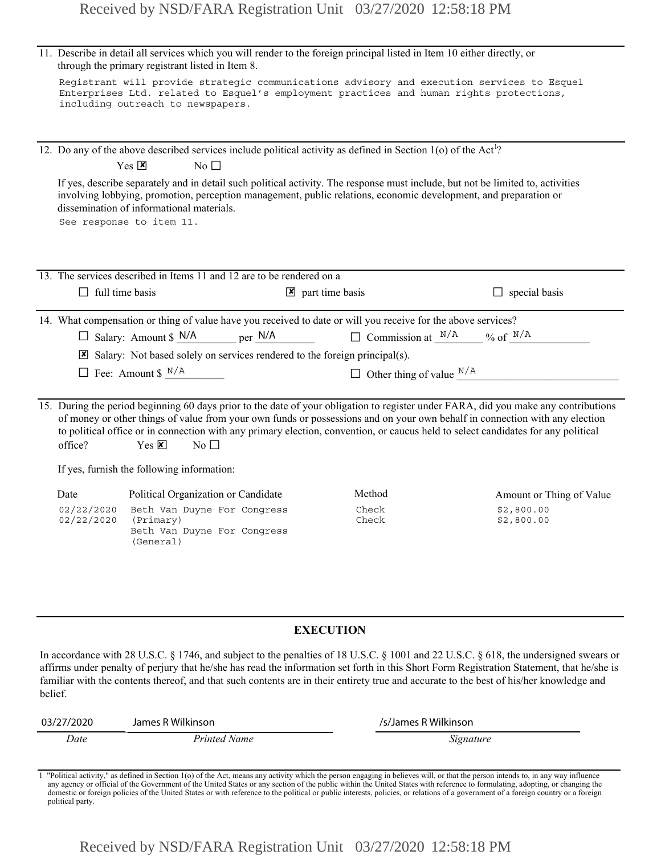|                                                                                                                                                                                                                            | through the primary registrant listed in Item 8.                                       | 11. Describe in detail all services which you will render to the foreign principal listed in Item 10 either directly, or                                                                                                                                                                                                                                                                                                     |                          |  |
|----------------------------------------------------------------------------------------------------------------------------------------------------------------------------------------------------------------------------|----------------------------------------------------------------------------------------|------------------------------------------------------------------------------------------------------------------------------------------------------------------------------------------------------------------------------------------------------------------------------------------------------------------------------------------------------------------------------------------------------------------------------|--------------------------|--|
| Registrant will provide strategic communications advisory and execution services to Esquel<br>Enterprises Ltd. related to Esquel's employment practices and human rights protections,<br>including outreach to newspapers. |                                                                                        |                                                                                                                                                                                                                                                                                                                                                                                                                              |                          |  |
|                                                                                                                                                                                                                            |                                                                                        | 12. Do any of the above described services include political activity as defined in Section 1(o) of the Act <sup>1</sup> ?                                                                                                                                                                                                                                                                                                   |                          |  |
|                                                                                                                                                                                                                            | $Yes \n  X$<br>No $\square$                                                            |                                                                                                                                                                                                                                                                                                                                                                                                                              |                          |  |
|                                                                                                                                                                                                                            | dissemination of informational materials.<br>See response to item 11.                  | If yes, describe separately and in detail such political activity. The response must include, but not be limited to, activities<br>involving lobbying, promotion, perception management, public relations, economic development, and preparation or                                                                                                                                                                          |                          |  |
|                                                                                                                                                                                                                            | 13. The services described in Items 11 and 12 are to be rendered on a                  |                                                                                                                                                                                                                                                                                                                                                                                                                              |                          |  |
| $\Box$ full time basis                                                                                                                                                                                                     |                                                                                        | $\triangleright$ part time basis                                                                                                                                                                                                                                                                                                                                                                                             | $\Box$ special basis     |  |
|                                                                                                                                                                                                                            |                                                                                        | 14. What compensation or thing of value have you received to date or will you receive for the above services?                                                                                                                                                                                                                                                                                                                |                          |  |
|                                                                                                                                                                                                                            | $\Box$ Salary: Amount \$ N/A<br>$per$ N/A                                              | $\Box$ Commission at $\frac{N/A}{N}$ % of $\frac{N/A}{N}$                                                                                                                                                                                                                                                                                                                                                                    |                          |  |
|                                                                                                                                                                                                                            | $\boxtimes$ Salary: Not based solely on services rendered to the foreign principal(s). |                                                                                                                                                                                                                                                                                                                                                                                                                              |                          |  |
|                                                                                                                                                                                                                            | $\Box$ Fee: Amount \$ $N/A$                                                            | $\Box$ Other thing of value $^{N/A}$                                                                                                                                                                                                                                                                                                                                                                                         |                          |  |
| office?                                                                                                                                                                                                                    | $Yes \times$<br>$No$ $\Box$                                                            | 15. During the period beginning 60 days prior to the date of your obligation to register under FARA, did you make any contributions<br>of money or other things of value from your own funds or possessions and on your own behalf in connection with any election<br>to political office or in connection with any primary election, convention, or caucus held to select candidates for any political                      |                          |  |
|                                                                                                                                                                                                                            | If yes, furnish the following information:                                             |                                                                                                                                                                                                                                                                                                                                                                                                                              |                          |  |
| Date                                                                                                                                                                                                                       | Political Organization or Candidate                                                    | Method                                                                                                                                                                                                                                                                                                                                                                                                                       | Amount or Thing of Value |  |
| 02/22/2020<br>02/22/2020                                                                                                                                                                                                   | Beth Van Duyne For Congress<br>(Primary)<br>Beth Van Duyne For Congress<br>(General)   | Check<br>Check                                                                                                                                                                                                                                                                                                                                                                                                               | \$2,800.00<br>\$2,800.00 |  |
|                                                                                                                                                                                                                            |                                                                                        |                                                                                                                                                                                                                                                                                                                                                                                                                              |                          |  |
| <b>EXECUTION</b>                                                                                                                                                                                                           |                                                                                        |                                                                                                                                                                                                                                                                                                                                                                                                                              |                          |  |
| belief.                                                                                                                                                                                                                    |                                                                                        | In accordance with 28 U.S.C. § 1746, and subject to the penalties of 18 U.S.C. § 1001 and 22 U.S.C. § 618, the undersigned swears or<br>affirms under penalty of perjury that he/she has read the information set forth in this Short Form Registration Statement, that he/she is<br>familiar with the contents thereof, and that such contents are in their entirety true and accurate to the best of his/her knowledge and |                          |  |
| 03/27/2020                                                                                                                                                                                                                 | James R Wilkinson                                                                      | /s/James R Wilkinson                                                                                                                                                                                                                                                                                                                                                                                                         |                          |  |

#### **EXECUTION**

| 03/27/2020 | James R Wilkinson | /s/James R Wilkinson |
|------------|-------------------|----------------------|
| Date       | Printed Name      | Signature            |

1 "Political activity," as defined in Section 1(o) of the Act, means any activity which the person engaging in believes will, or that the person intends to, in any way influence any agency or official of the Government of the United States or any section of the public within the United States with reference to formulating, adopting, or changing the<br>domestic or foreign policies of the United States political party.